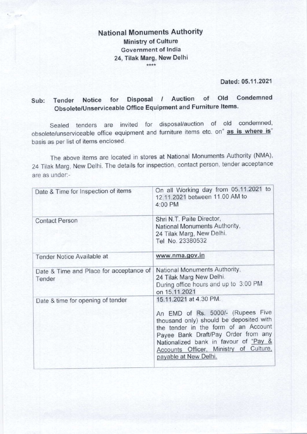## National Monuments Authority Ministry of Culture Government of lndia 24, Tilak Marg, New Delhi \*\*\*\*

Dated: 05.11.2021

# Sub: Tender Notice for Disposal / Auction of Old Condemned obsolete/Unserviceable Office Equipment and Furniture ltems'

Sealed tenders are invited for disposal/auction of old condemned, obsolete/unserviceable office equipment and furniture items etc. on" as is where is" basis as per list of items enclosed.

The above items are located in stores at National Monuments Authority (NMA), 24 Tilak Marg, New Delhi. The details for inspection, contact person, tender acceptance are as under:-

| Date & Time for Inspection of items               | On all Working day from 05.11.2021 to<br>12.11.2021 between 11.00 AM to<br>4:00 PM<br>Shri N.T. Paite Director,<br>National Monuments Authority,<br>24 Tilak Marg, New Delhi.<br>Tel No. 23380532                                                                                                 |  |
|---------------------------------------------------|---------------------------------------------------------------------------------------------------------------------------------------------------------------------------------------------------------------------------------------------------------------------------------------------------|--|
| <b>Contact Person</b>                             |                                                                                                                                                                                                                                                                                                   |  |
| Tender Notice Available at                        | www.nma.gov.in                                                                                                                                                                                                                                                                                    |  |
| Date & Time and Place for acceptance of<br>Tender | National Monuments Authority,<br>24 Tilak Marg New Delhi.<br>During office hours and up to 3:00 PM<br>on 15.11.2021                                                                                                                                                                               |  |
| Date & time for opening of tender                 | 15.11.2021 at 4.30 PM.<br>An EMD of Rs. 5000/- (Rupees Five<br>thousand only) should be deposited with<br>the tender in the form of an Account<br>Payee Bank Draft/Pay Order from any<br>Nationalized bank in favour of "Pay &<br>Accounts Officer, Ministry of Culture,<br>payable at New Delhi. |  |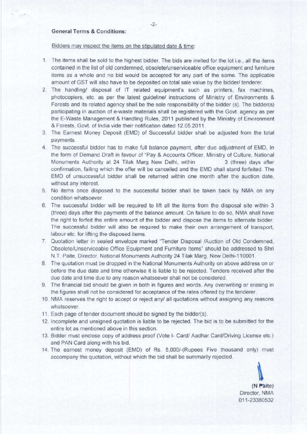### General Terms & Conditions:

#### Bidders may inspect the items on the stipulated date & time:

- 1. The items shall be sold to the highest bidder. The bids are invited for the lot i.e., all the items contained in the list of old condemned, obsolete/unserviceable ofiice equipment and fumiture items as a whole and no bid would be accepted for any part of the same. The applicable amount of GST will also have to be deposited on total sale value by the bidder/ tenderer.
- 2. The handling/ disposal of lT related equipment's such as printers, fax machines, photocopiers, etc. as per the latest guideline/ instructions of Ministry ot Environments & Forests and its related agency shall be the sole responsibility of the bidder (s). The bidder(s) participating in auction of e-waste materials shall be registered with the Govt. agency as per the E-Waste Management & Handling Rules, 2011 published by the Ministry of Environment & Forests, Govt. of India vide their notification dated 12.05.2011.
- 3. The Earnest Money Deposit (EMD) of Successful bidder shall be adjusted from the total payments.
- 4. The successful bidder has to make full balance payment, after due adjustment of EMD, In the form of Demand Draft in favour of "Pay & Accounts Officer, Ministry of Culture, National Monuments Authority at 24 Tilak Marg New Delhi, within 3 (three) days after confirmation, failing which the offer will be cancelled and the EMD shall stand forfeited. The EMD of unsuccessful bidder shall be returned within one month after the auction date, without any interest.
- 5. No items once disposed to the successful bidder shall be taken back by NMA on any condition whatsoever.
- 6 The successful bidder will be required to lift all the items from the disposal site within <sup>3</sup> (three) days after the payments of the balance amount. On failure to do so, NMA shall have the right to forfeit the entire amount of the bidder and dispose the items to alternate bidder. The successful bidder will also be required to make their own arrangement of transport, labour etc. for lifting the disposed items.
- 7. Quotation letter in sealed envelope marked "Tender Disposal /Auction of Old Condemned, Obsolete/Unserviceable Office Equipment and Furniture ltems" should be addressed to Shri N.T. Paite, Director, National Monuments Authority 24 Tilak Marg, New Delhi-110001.
- B. The quotation must be dropped in the National l\,4onuments Authority on above address on or before the due date and time otherwise it is liable to be rejected. Tenders received after the due date and time due to any reason whatsoever shall not be considered.
- 9. The financial bid should be given in both in figures and words. Any overwriting or erasing in the figures shall not be considered for acceptance of the rates offered by the tenderer.
- 10. NMA reserves the right to accept or reject any/ all quotations without assigning any reasons whatsoever.
- 11. Each page of tender document should be signed by the bidder(s).
- 12 lncomplete and unsigned quotation is liable to be rejected. The bid is to be submitted for the entire lot as mentioned above in this seclion.
- 13. Bidder must enclose copy of address proof (Vote l- Card/ Aadhar Card/Driving License etc ) and PAN Card along with his bid
- 14. The earnest money deposit (EMD) of Rs. 5,000/-(Rupees Five thousand only) must accompany the quotation, without which the bid shall be summarily rejected

(N Paite) Director, NMA 011-23380532